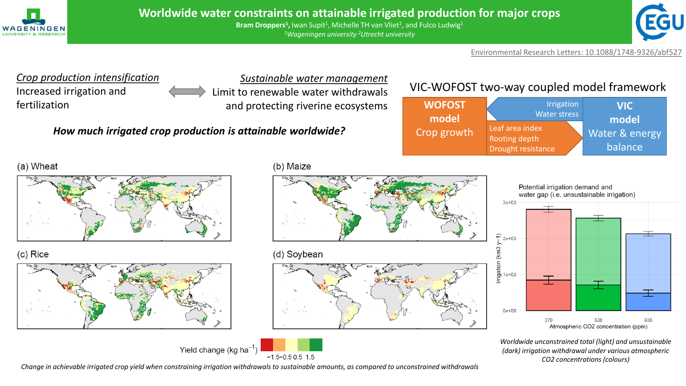

Bram Droppers<sup>1</sup>, Iwan Supit<sup>1</sup>, Michelle TH van Vliet<sup>2</sup>, and Fulco Ludwig<sup>1</sup> *<sup>1</sup>Wageningen university <sup>2</sup>Utrecht university*



Environmental Research Letters: 10.1088/1748-9326/abf527



*Change in achievable irrigated crop yield when constraining irrigation withdrawals to sustainable amounts, as compared to unconstrained withdrawals*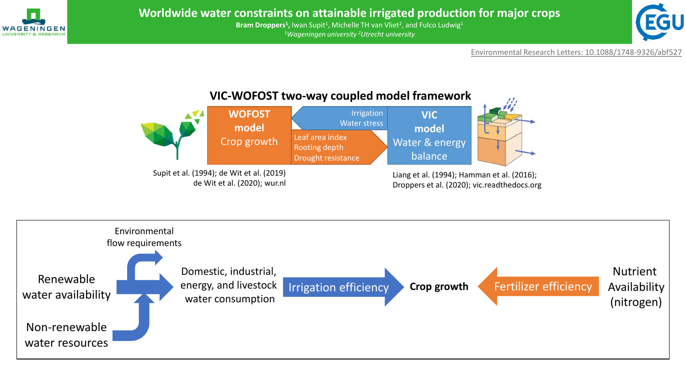



Environmental Research Letters: 10.1088/1748-9326/abf527



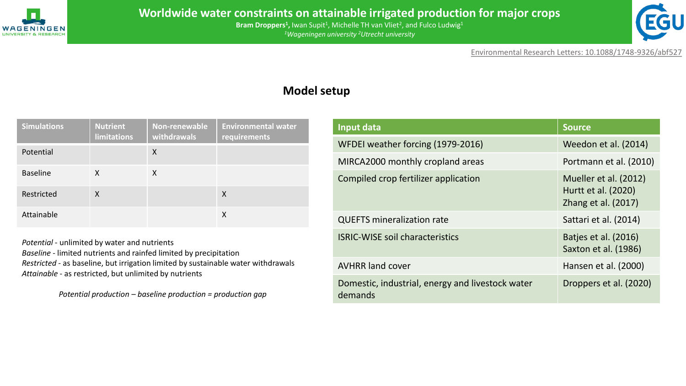



Environmental Research Letters: 10.1088/1748-9326/abf527

## **Model setup**

| <b>Simulations</b> | <b>Nutrient</b><br>limitations | Non-renewable<br>withdrawals | <b>Environmental water</b><br>requirements |
|--------------------|--------------------------------|------------------------------|--------------------------------------------|
| Potential          |                                | X                            |                                            |
| <b>Baseline</b>    | X                              | X                            |                                            |
| Restricted         | X                              |                              | X                                          |
| Attainable         |                                |                              | X                                          |

*Potential* - unlimited by water and nutrients *Baseline* - limited nutrients and rainfed limited by precipitation *Restricted -* as baseline, but irrigation limited by sustainable water withdrawals *Attainable* - as restricted, but unlimited by nutrients

*Potential production – baseline production = production gap*

| Input data                                                  | <b>Source</b>                                                       |  |
|-------------------------------------------------------------|---------------------------------------------------------------------|--|
| WFDEI weather forcing (1979-2016)                           | Weedon et al. (2014)                                                |  |
| MIRCA2000 monthly cropland areas                            | Portmann et al. (2010)                                              |  |
| Compiled crop fertilizer application                        | Mueller et al. (2012)<br>Hurtt et al. (2020)<br>Zhang et al. (2017) |  |
| <b>QUEFTS mineralization rate</b>                           | Sattari et al. (2014)                                               |  |
| <b>ISRIC-WISE soil characteristics</b>                      | Batjes et al. (2016)<br>Saxton et al. (1986)                        |  |
| <b>AVHRR land cover</b>                                     | Hansen et al. (2000)                                                |  |
| Domestic, industrial, energy and livestock water<br>demands | Droppers et al. (2020)                                              |  |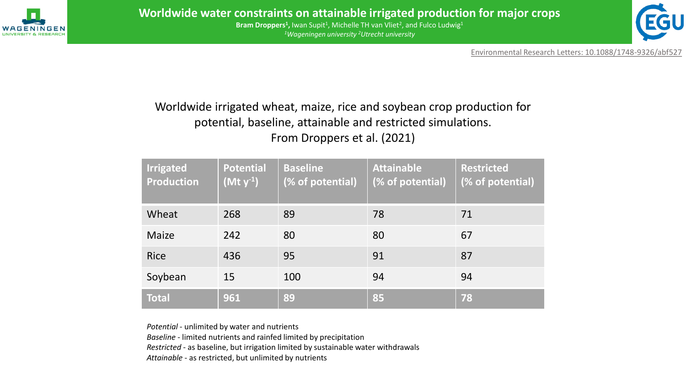



Environmental Research Letters: 10.1088/1748-9326/abf527

# Worldwide irrigated wheat, maize, rice and soybean crop production for potential, baseline, attainable and restricted simulations. From Droppers et al. (2021)

| <b>Irrigated</b><br><b>Production</b> | <b>Potential</b><br>$(Mt y-1)$ | <b>Baseline</b><br>(% of potential) | <b>Attainable</b><br>(% of potential) | <b>Restricted</b><br>(% of potential) |
|---------------------------------------|--------------------------------|-------------------------------------|---------------------------------------|---------------------------------------|
| Wheat                                 | 268                            | 89                                  | 78                                    | 71                                    |
| <b>Maize</b>                          | 242                            | 80                                  | 80                                    | 67                                    |
| <b>Rice</b>                           | 436                            | 95                                  | 91                                    | 87                                    |
| Soybean                               | 15                             | 100                                 | 94                                    | 94                                    |
| <b>Total</b>                          | 961                            | 89                                  | 85                                    | 78                                    |

*Potential* - unlimited by water and nutrients

*Baseline* - limited nutrients and rainfed limited by precipitation

*Restricted -* as baseline, but irrigation limited by sustainable water withdrawals

*Attainable* - as restricted, but unlimited by nutrients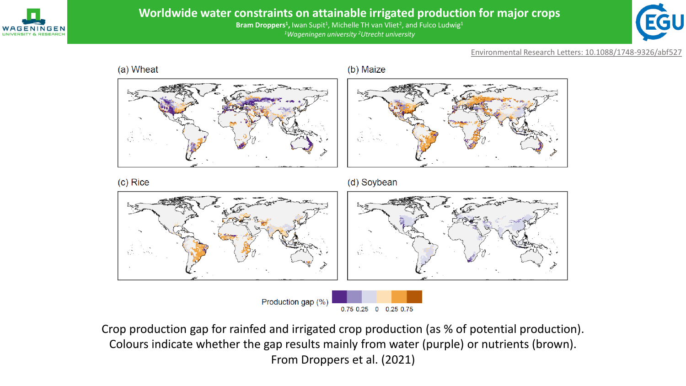

Bram Droppers<sup>1</sup>, Iwan Supit<sup>1</sup>, Michelle TH van Vliet<sup>2</sup>, and Fulco Ludwig<sup>1</sup> *<sup>1</sup>Wageningen university <sup>2</sup>Utrecht university*



Environmental Research Letters: 10.1088/1748-9326/abf527



(b) Maize



(c) Rice

(d) Soybean



Production gap (%)  $0.75$   $0.25$  0  $0.25$  0.75

Crop production gap for rainfed and irrigated crop production (as % of potential production). Colours indicate whether the gap results mainly from water (purple) or nutrients (brown). From Droppers et al. (2021)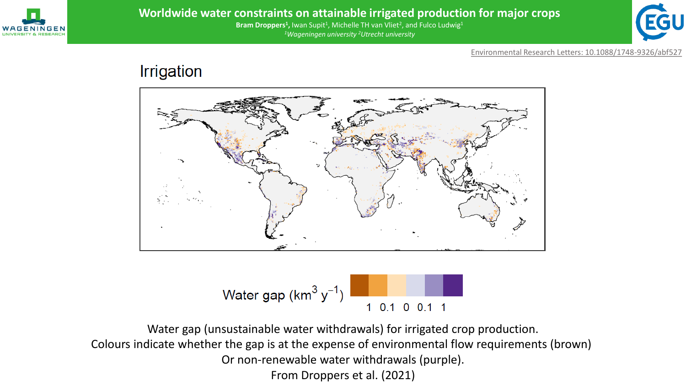

Bram Droppers<sup>1</sup>, Iwan Supit<sup>1</sup>, Michelle TH van Vliet<sup>2</sup>, and Fulco Ludwig<sup>1</sup> *<sup>1</sup>Wageningen university <sup>2</sup>Utrecht university*



Environmental Research Letters: 10.1088/1748-9326/abf527

# Irrigation





Water gap (unsustainable water withdrawals) for irrigated crop production. Colours indicate whether the gap is at the expense of environmental flow requirements (brown) Or non-renewable water withdrawals (purple). From Droppers et al. (2021)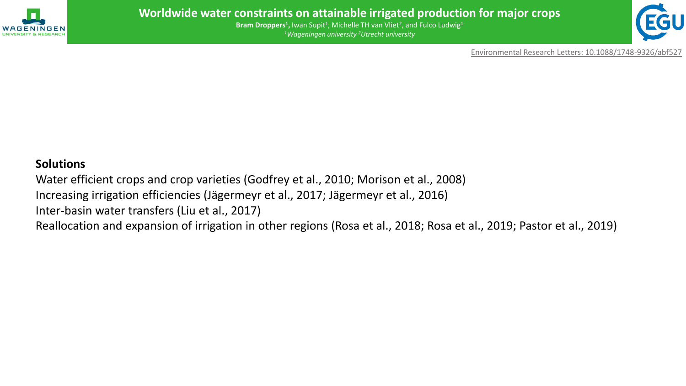



Environmental Research Letters: 10.1088/1748-9326/abf527

### **Solutions**

Water efficient crops and crop varieties (Godfrey et al., 2010; Morison et al., 2008) Increasing irrigation efficiencies (Jägermeyr et al., 2017; Jägermeyr et al., 2016) Inter-basin water transfers (Liu et al., 2017) Reallocation and expansion of irrigation in other regions (Rosa et al., 2018; Rosa et al., 2019; Pastor et al., 2019)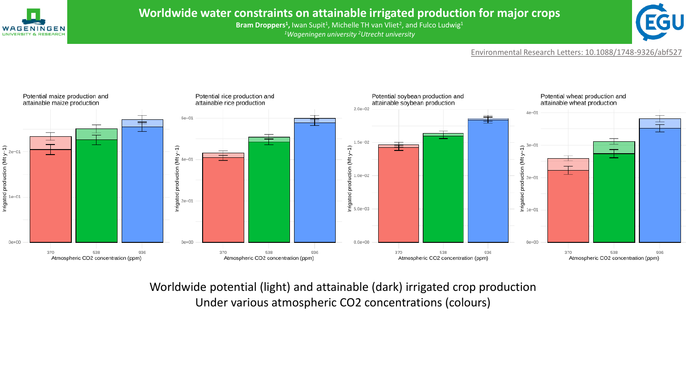

Bram Droppers<sup>1</sup>, Iwan Supit<sup>1</sup>, Michelle TH van Vliet<sup>2</sup>, and Fulco Ludwig<sup>1</sup> *<sup>1</sup>Wageningen university <sup>2</sup>Utrecht university*



Environmental Research Letters: 10.1088/1748-9326/abf527



Worldwide potential (light) and attainable (dark) irrigated crop production Under various atmospheric CO2 concentrations (colours)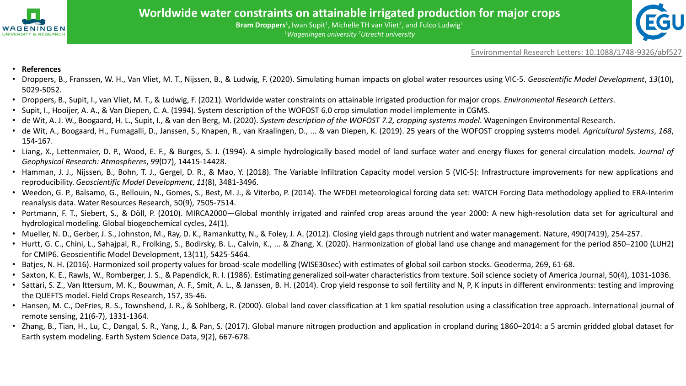



Environmental Research Letters: 10.1088/1748-9326/abf527

#### • **References**

- Droppers, B., Franssen, W. H., Van Vliet, M. T., Nijssen, B., & Ludwig, F. (2020). Simulating human impacts on global water resources using VIC-5. *Geoscientific Model Development*, *13*(10), 5029-5052.
- Droppers, B., Supit, I., van Vliet, M. T., & Ludwig, F. (2021). Worldwide water constraints on attainable irrigated production for major crops. *Environmental Research Letters*.
- Supit, I., Hooijer, A. A., & Van Diepen, C. A. (1994). System description of the WOFOST 6.0 crop simulation model implemente in CGMS.
- de Wit, A. J. W., Boogaard, H. L., Supit, I., & van den Berg, M. (2020). System description of the WOFOST 7.2, cropping systems model. Wageningen Environmental Research.
- de Wit, A., Boogaard, H., Fumagalli, D., Janssen, S., Knapen, R., van Kraalingen, D., ... & van Diepen, K. (2019). 25 years of the WOFOST cropping systems model. *Agricultural Systems*, *168*, 154-167.
- Liang, X., Lettenmaier, D. P., Wood, E. F., & Burges, S. J. (1994). A simple hydrologically based model of land surface water and energy fluxes for general circulation models. *Journal of Geophysical Research: Atmospheres*, *99*(D7), 14415-14428.
- Hamman, J. J., Nijssen, B., Bohn, T. J., Gergel, D. R., & Mao, Y. (2018). The Variable Infiltration Capacity model version 5 (VIC-5): Infrastructure improvements for new applications and reproducibility. *Geoscientific Model Development*, *11*(8), 3481-3496.
- Weedon, G. P., Balsamo, G., Bellouin, N., Gomes, S., Best, M. J., & Viterbo, P. (2014). The WFDEI meteorological forcing data set: WATCH Forcing Data methodology applied to ERA-Interim reanalysis data. Water Resources Research, 50(9), 7505-7514.
- Portmann, F. T., Siebert, S., & Döll, P. (2010). MIRCA2000—Global monthly irrigated and rainfed crop areas around the year 2000: A new high-resolution data set for agricultural and hydrological modeling. Global biogeochemical cycles, 24(1).
- Mueller, N. D., Gerber, J. S., Johnston, M., Ray, D. K., Ramankutty, N., & Foley, J. A. (2012). Closing yield gaps through nutrient and water management. Nature, 490(7419), 254-257.
- Hurtt, G. C., Chini, L., Sahajpal, R., Frolking, S., Bodirsky, B. L., Calvin, K., ... & Zhang, X. (2020). Harmonization of global land use change and management for the period 850–2100 (LUH2) for CMIP6. Geoscientific Model Development, 13(11), 5425-5464.
- Batjes, N. H. (2016). Harmonized soil property values for broad-scale modelling (WISE30sec) with estimates of global soil carbon stocks. Geoderma, 269, 61-68.
- Saxton, K. E., Rawls, W., Romberger, J. S., & Papendick, R. I. (1986). Estimating generalized soil‐water characteristics from texture. Soil science society of America Journal, 50(4), 1031-1036.
- Sattari, S. Z., Van Ittersum, M. K., Bouwman, A. F., Smit, A. L., & Janssen, B. H. (2014). Crop yield response to soil fertility and N, P, K inputs in different environments: testing and improving the QUEFTS model. Field Crops Research, 157, 35-46.
- Hansen, M. C., DeFries, R. S., Townshend, J. R., & Sohlberg, R. (2000). Global land cover classification at 1 km spatial resolution using a classification tree approach. International journal of remote sensing, 21(6-7), 1331-1364.
- Zhang, B., Tian, H., Lu, C., Dangal, S. R., Yang, J., & Pan, S. (2017). Global manure nitrogen production and application in cropland during 1860–2014: a 5 arcmin gridded global dataset for Earth system modeling. Earth System Science Data, 9(2), 667-678.